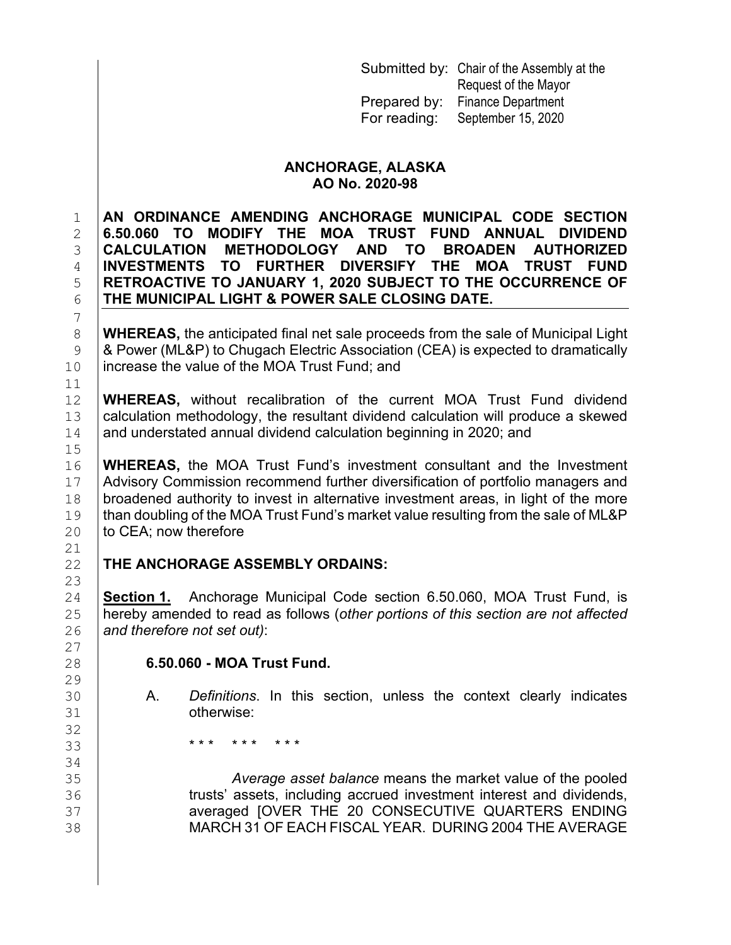|              | Submitted by: Chair of the Assembly at the |
|--------------|--------------------------------------------|
|              | Request of the Mayor                       |
| Prepared by: | <b>Finance Department</b>                  |
| For reading: | September 15, 2020                         |

### **ANCHORAGE, ALASKA AO No. 2020-98**

 **AN ORDINANCE AMENDING ANCHORAGE MUNICIPAL CODE SECTION 6.50.060 TO MODIFY THE MOA TRUST FUND ANNUAL DIVIDEND CALCULATION METHODOLOGY AND TO BROADEN AUTHORIZED INVESTMENTS TO FURTHER DIVERSIFY THE MOA TRUST FUND**<br>5 RETROACTIVE TO JANUARY 1, 2020 SUBJECT TO THE OCCURRENCE OF **RETROACTIVE TO JANUARY 1, 2020 SUBJECT TO THE OCCURRENCE OF THE MUNICIPAL LIGHT & POWER SALE CLOSING DATE. THE MUNICIPAL LIGHT & POWER SALE CLOSING DATE.**

8 **WHEREAS,** the anticipated final net sale proceeds from the sale of Municipal Light<br>9 **8** Power (ML&P) to Chugach Electric Association (CEA) is expected to dramatically 9 | & Power (ML&P) to Chugach Electric Association (CEA) is expected to dramatically<br>10 | increase the value of the MOA Trust Fund: and increase the value of the MOA Trust Fund; and

12 **WHEREAS,** without recalibration of the current MOA Trust Fund dividend 13 calculation methodology, the resultant dividend calculation sessewed 13  $\vert$  calculation methodology, the resultant dividend calculation will produce a skewed  $\vert$  and understated annual dividend calculation beginning in 2020; and and understated annual dividend calculation beginning in 2020; and

16 **WHEREAS,** the MOA Trust Fund's investment consultant and the Investment 17 **Advisory Commission recommend further diversification of portfolio managers and** 17 | Advisory Commission recommend further diversification of portfolio managers and<br>18 | broadened authority to invest in alternative investment areas, in light of the more 18 broadened authority to invest in alternative investment areas, in light of the more  $19$  than doubling of the MOA Trust Fund's market value resulting from the sale of ML&P 19 than doubling of the MOA Trust Fund's market value resulting from the sale of ML&P<br>20 to CEA: now therefore to CEA; now therefore

## **THE ANCHORAGE ASSEMBLY ORDAINS:**

7

 $\begin{array}{c} 11 \\ 12 \end{array}$ 

 $15$ <br> $16$ 

 $\frac{21}{22}$ 

23<br>24

27<br>28

 $\frac{29}{30}$ 

32

 $34$ <br>35

24 **Section 1.** Anchorage Municipal Code section 6.50.060, MOA Trust Fund, is<br>25 hereby amended to read as follows (other portions of this section are not affected 25 hereby amended to read as follows (*other portions of this section are not affected*  and therefore not set out):

## 28 **6.50.060 - MOA Trust Fund.**

- 30 A. *Definitions*. In this section, unless the context clearly indicates 31 otherwise:
- 33 **\*\*\*** \*\*\* \*\*\*

 *Average asset balance* means the market value of the pooled **trusts' assets, including accrued investment interest and dividends,<br>37 <b>Structure 20 CONSECUTIVE QUARTERS ENDING**  averaged [OVER THE 20 CONSECUTIVE QUARTERS ENDING MARCH 31 OF EACH FISCAL YEAR. DURING 2004 THE AVERAGE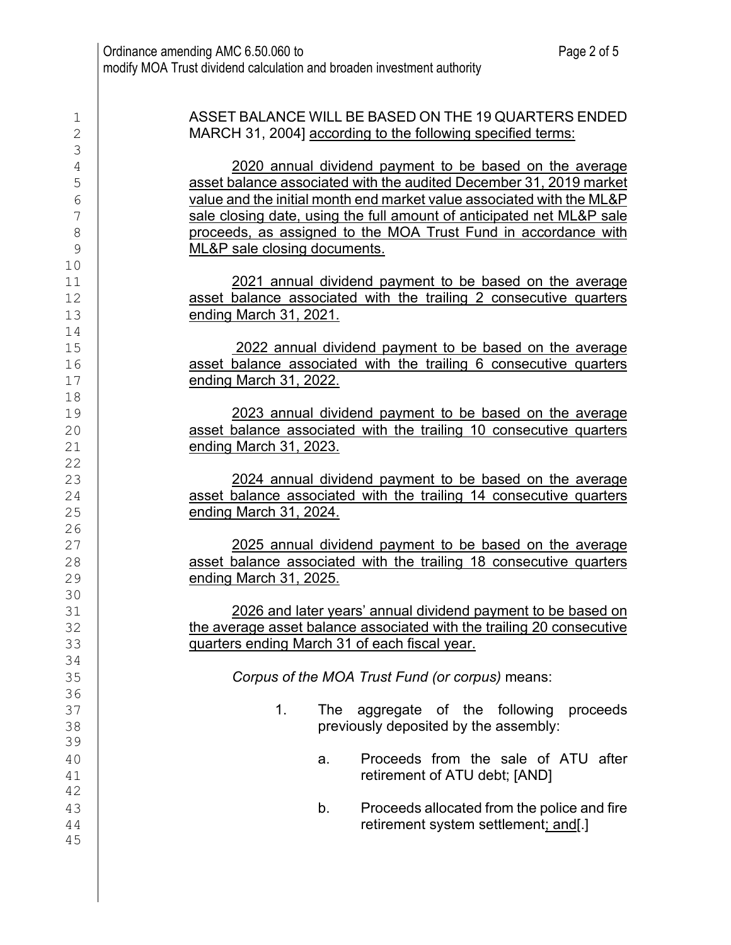| $\mathbf 1$    | ASSET BALANCE WILL BE BASED ON THE 19 QUARTERS ENDED                                                                          |  |  |  |  |  |  |  |  |
|----------------|-------------------------------------------------------------------------------------------------------------------------------|--|--|--|--|--|--|--|--|
| $\sqrt{2}$     | MARCH 31, 2004] according to the following specified terms:                                                                   |  |  |  |  |  |  |  |  |
| 3<br>4         | 2020 annual dividend payment to be based on the average                                                                       |  |  |  |  |  |  |  |  |
| 5              | asset balance associated with the audited December 31, 2019 market                                                            |  |  |  |  |  |  |  |  |
| $\sqrt{6}$     | value and the initial month end market value associated with the ML&P                                                         |  |  |  |  |  |  |  |  |
| 7              | sale closing date, using the full amount of anticipated net ML&P sale                                                         |  |  |  |  |  |  |  |  |
| $8\,$          | proceeds, as assigned to the MOA Trust Fund in accordance with                                                                |  |  |  |  |  |  |  |  |
| $\overline{9}$ | ML&P sale closing documents.                                                                                                  |  |  |  |  |  |  |  |  |
| 10<br>11       | 2021 annual dividend payment to be based on the average                                                                       |  |  |  |  |  |  |  |  |
| 12             | asset balance associated with the trailing 2 consecutive quarters                                                             |  |  |  |  |  |  |  |  |
| 13             | <u>ending March 31, 2021.</u>                                                                                                 |  |  |  |  |  |  |  |  |
| 14             |                                                                                                                               |  |  |  |  |  |  |  |  |
| 15             | 2022 annual dividend payment to be based on the average                                                                       |  |  |  |  |  |  |  |  |
| 16             | asset balance associated with the trailing 6 consecutive quarters                                                             |  |  |  |  |  |  |  |  |
| 17             | ending March 31, 2022.                                                                                                        |  |  |  |  |  |  |  |  |
| 18<br>19       |                                                                                                                               |  |  |  |  |  |  |  |  |
| 20             | 2023 annual dividend payment to be based on the average<br>asset balance associated with the trailing 10 consecutive quarters |  |  |  |  |  |  |  |  |
| 21             | <u>ending March 31, 2023.</u>                                                                                                 |  |  |  |  |  |  |  |  |
| 22             |                                                                                                                               |  |  |  |  |  |  |  |  |
| 23             | 2024 annual dividend payment to be based on the average                                                                       |  |  |  |  |  |  |  |  |
| 24             | asset balance associated with the trailing 14 consecutive quarters                                                            |  |  |  |  |  |  |  |  |
| 25             | ending March 31, 2024.                                                                                                        |  |  |  |  |  |  |  |  |
| 26<br>27       | 2025 annual dividend payment to be based on the average                                                                       |  |  |  |  |  |  |  |  |
| 28             | asset balance associated with the trailing 18 consecutive quarters                                                            |  |  |  |  |  |  |  |  |
| 29             | ending March 31, 2025.                                                                                                        |  |  |  |  |  |  |  |  |
| 30             |                                                                                                                               |  |  |  |  |  |  |  |  |
| 31             | 2026 and later years' annual dividend payment to be based on                                                                  |  |  |  |  |  |  |  |  |
| 32             | the average asset balance associated with the trailing 20 consecutive                                                         |  |  |  |  |  |  |  |  |
| 33<br>34       | quarters ending March 31 of each fiscal year.                                                                                 |  |  |  |  |  |  |  |  |
| 35             | Corpus of the MOA Trust Fund (or corpus) means:                                                                               |  |  |  |  |  |  |  |  |
| 36             |                                                                                                                               |  |  |  |  |  |  |  |  |
| 37             | The aggregate of the following<br>1.<br>proceeds                                                                              |  |  |  |  |  |  |  |  |
| 38             | previously deposited by the assembly:                                                                                         |  |  |  |  |  |  |  |  |
| 39             |                                                                                                                               |  |  |  |  |  |  |  |  |
| 40             | Proceeds from the sale of ATU after<br>a.<br>retirement of ATU debt; [AND]                                                    |  |  |  |  |  |  |  |  |
| 41<br>42       |                                                                                                                               |  |  |  |  |  |  |  |  |
| 43             | Proceeds allocated from the police and fire<br>b.                                                                             |  |  |  |  |  |  |  |  |
| 44             | retirement system settlement; and[.]                                                                                          |  |  |  |  |  |  |  |  |
| 45             |                                                                                                                               |  |  |  |  |  |  |  |  |
|                |                                                                                                                               |  |  |  |  |  |  |  |  |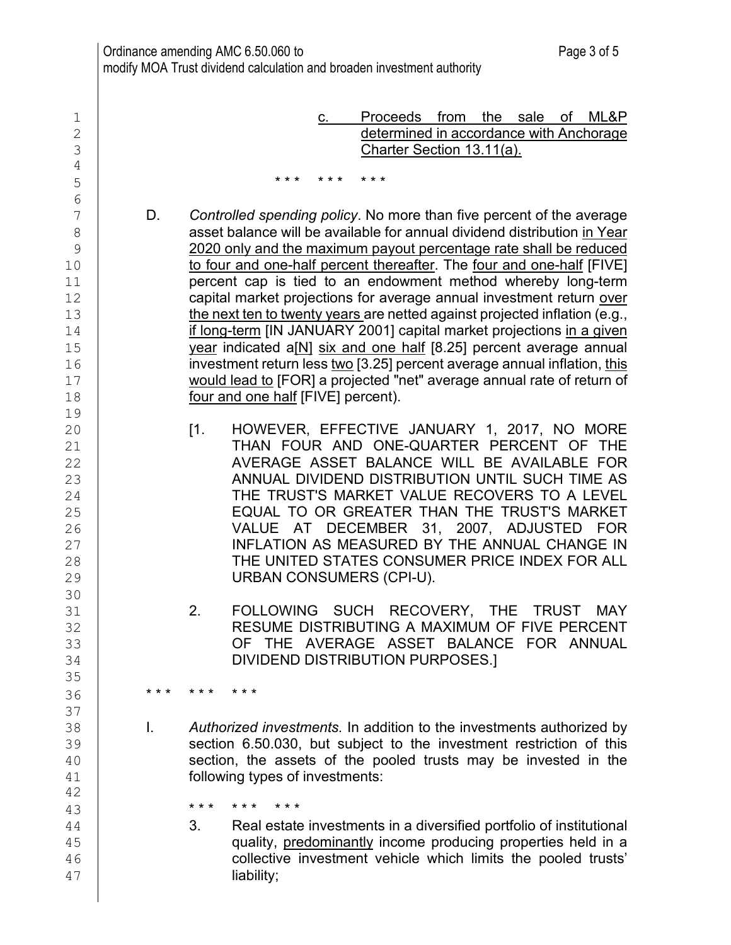1 c. Proceeds from the sale of ML&P<br>2 determined in accordance with Anchorage 2 determined in accordance with Anchorage<br>3 Charter Section 13.11(a). Charter Section 13.11(a). 4  $5$   $***$  \*\*\* \*\*\* \*\*\* 6<br>7 T D. Controlled spending policy. No more than five percent of the average<br>8 8 asset balance will be available for annual dividend distribution in Year<br>8 2020 only and the maximum pavout percentage rate shall be reduced 9 2020 only and the maximum payout percentage rate shall be reduced 10 | to four and one-half percent thereafter. The four and one-half [FIVE] 11 **percent cap is tied to an endowment method whereby long-term**<br>12 **capital market projections for average annual investment return over**  $\begin{array}{c|c} 12 & \text{capital market projections for average annual investment return over} \ 13 & \text{the next ten to twenty years are netted against projected inflation (e.a.).} \end{array}$ 13 the next ten to twenty years are netted against projected inflation (e.g.,<br>14 **f** long-term IIN JANUARY 20011 capital market projections in a given 14 if long-term [IN JANUARY 2001] capital market projections in a given<br>15 year indicated a[N] six and one half [8.25] percent average annual 15 year indicated a[N] six and one half [8.25] percent average annual<br>16 investment return less two [3.25] percent average annual inflation, this 16 investment return less <u>two</u> [3.25] percent average annual inflation, this<br>17 **incomposity of the UPC would lead to [FOR] a projected "net" average annual rate of return of** would lead to [FOR] a projected "net" average annual rate of return of 18 **Four and one half [FIVE] percent**). 19 20 [1. HOWEVER, EFFECTIVE JANUARY 1, 2017, NO MORE<br>21 **THAN FOUR AND ONE-QUARTER PERCENT OF THE** 21 THAN FOUR AND ONE-QUARTER PERCENT OF THE<br>22 AVERAGE ASSET BALANCE WILL BE AVAILABLE FOR 22 AVERAGE ASSET BALANCE WILL BE AVAILABLE FOR<br>23 ANNUAL DIVIDEND DISTRIBUTION UNTIL SUCH TIME AS <sup>23</sup> ANNUAL DIVIDEND DISTRIBUTION UNTIL SUCH TIME AS<br><sup>24</sup> THE TRUST'S MARKET VALUE RECOVERS TO A LEVEL <sup>24</sup> THE TRUST'S MARKET VALUE RECOVERS TO A LEVEL<br><sup>25</sup> EQUAL TO OR GREATER THAN THE TRUST'S MARKET EQUAL TO OR GREATER THAN THE TRUST'S MARKET 26 VALUE AT DECEMBER 31, 2007, ADJUSTED FOR<br>27 INFLATION AS MEASURED BY THE ANNUAL CHANGE IN INFLATION AS MEASURED BY THE ANNUAL CHANGE IN 28 THE UNITED STATES CONSUMER PRICE INDEX FOR ALL<br>29 URBAN CONSUMERS (CPI-U). URBAN CONSUMERS (CPI-U). 30<br>31 31 2. FOLLOWING SUCH RECOVERY, THE TRUST MAY<br>RESUME DISTRIBUTING A MAXIMUM OF FIVE PERCENT 32 RESUME DISTRIBUTING A MAXIMUM OF FIVE PERCENT<br>33 OF THE AVERAGE ASSET BALANCE FOR ANNUAL 33 OF THE AVERAGE ASSET BALANCE FOR ANNUAL 34 DIVIDEND DISTRIBUTION PURPOSES.] 35 36 **\*\*\* \*\*\* \*\*\*** 37<br>38 38 I. *Authorized investments.* In addition to the investments authorized by 39 section 6.50.030, but subject to the investment restriction of this<br>40 section, the assets of the pooled trusts may be invested in the 40 section, the assets of the pooled trusts may be invested in the 41 following types of investments: 42 43 **\*\*\*** \*\*\* \*\*\* \*\*\*<br>44 **3. Real estate** 44 3. Real estate investments in a diversified portfolio of institutional<br>45 **19 manualisms** quality, predominantly income producing properties held in a 45 quality, <u>predominantly</u> income producing properties held in a<br>46 collective investment vehicle which limits the pooled trusts' collective investment vehicle which limits the pooled trusts' 47 liability;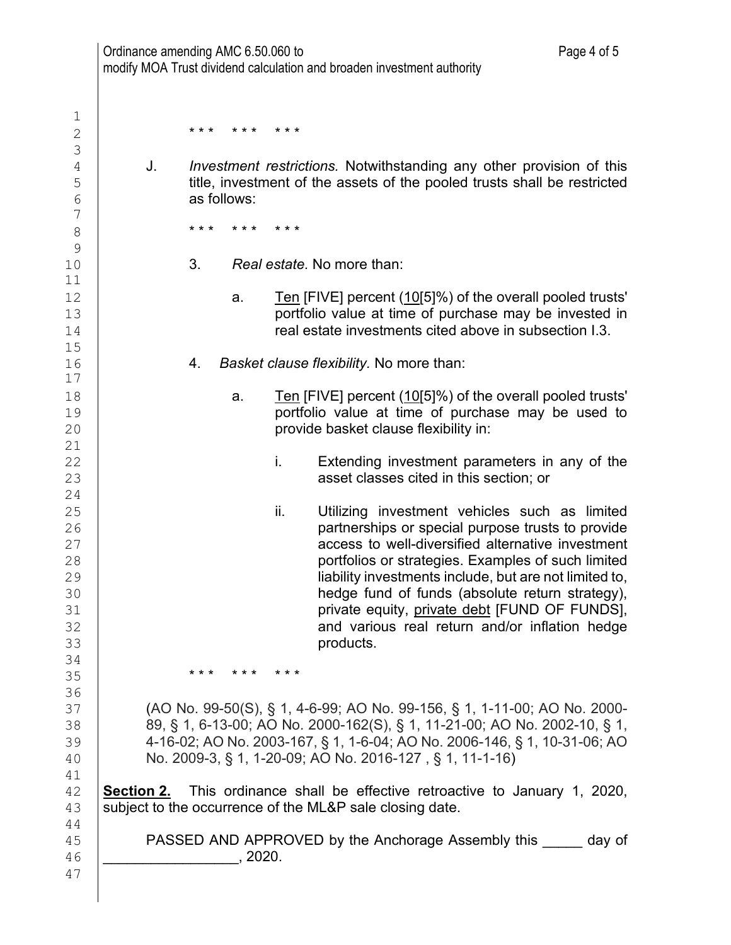|            | Ordinance amending AMC 6.50.060 to | modify MOA Trust dividend calculation and broaden investment authority                                                                                                                                                                                                                         | Page 4 of 5                                                                                                                                                                                                                                                                                                                                                                                                                   |
|------------|------------------------------------|------------------------------------------------------------------------------------------------------------------------------------------------------------------------------------------------------------------------------------------------------------------------------------------------|-------------------------------------------------------------------------------------------------------------------------------------------------------------------------------------------------------------------------------------------------------------------------------------------------------------------------------------------------------------------------------------------------------------------------------|
|            |                                    |                                                                                                                                                                                                                                                                                                |                                                                                                                                                                                                                                                                                                                                                                                                                               |
|            | * * *<br>* * *                     | * * *                                                                                                                                                                                                                                                                                          |                                                                                                                                                                                                                                                                                                                                                                                                                               |
| J.         | as follows:                        | Investment restrictions. Notwithstanding any other provision of this<br>title, investment of the assets of the pooled trusts shall be restricted                                                                                                                                               |                                                                                                                                                                                                                                                                                                                                                                                                                               |
|            | * * *<br>* * *                     | * * *                                                                                                                                                                                                                                                                                          |                                                                                                                                                                                                                                                                                                                                                                                                                               |
|            | 3.                                 | Real estate. No more than:                                                                                                                                                                                                                                                                     |                                                                                                                                                                                                                                                                                                                                                                                                                               |
|            | a.                                 | Ten [FIVE] percent (10[5]%) of the overall pooled trusts'<br>portfolio value at time of purchase may be invested in<br>real estate investments cited above in subsection I.3.                                                                                                                  |                                                                                                                                                                                                                                                                                                                                                                                                                               |
|            | 4.                                 | Basket clause flexibility. No more than:                                                                                                                                                                                                                                                       |                                                                                                                                                                                                                                                                                                                                                                                                                               |
|            | a.                                 | Ten [FIVE] percent (10[5]%) of the overall pooled trusts'<br>portfolio value at time of purchase may be used to<br>provide basket clause flexibility in:                                                                                                                                       |                                                                                                                                                                                                                                                                                                                                                                                                                               |
|            |                                    | i.<br>asset classes cited in this section; or                                                                                                                                                                                                                                                  | Extending investment parameters in any of the                                                                                                                                                                                                                                                                                                                                                                                 |
|            |                                    | ii.<br>products.                                                                                                                                                                                                                                                                               | Utilizing investment vehicles such as limited<br>partnerships or special purpose trusts to provide<br>access to well-diversified alternative investment<br>portfolios or strategies. Examples of such limited<br>liability investments include, but are not limited to,<br>hedge fund of funds (absolute return strategy),<br>private equity, private debt [FUND OF FUNDS],<br>and various real return and/or inflation hedge |
|            | * * * * * * * * * *                |                                                                                                                                                                                                                                                                                                |                                                                                                                                                                                                                                                                                                                                                                                                                               |
|            |                                    | (AO No. 99-50(S), § 1, 4-6-99; AO No. 99-156, § 1, 1-11-00; AO No. 2000-<br>89, § 1, 6-13-00; AO No. 2000-162(S), § 1, 11-21-00; AO No. 2002-10, § 1,<br>4-16-02; AO No. 2003-167, § 1, 1-6-04; AO No. 2006-146, § 1, 10-31-06; AO<br>No. 2009-3, § 1, 1-20-09; AO No. 2016-127, § 1, 11-1-16) |                                                                                                                                                                                                                                                                                                                                                                                                                               |
| Section 2. |                                    | This ordinance shall be effective retroactive to January 1, 2020,<br>subject to the occurrence of the ML&P sale closing date.                                                                                                                                                                  |                                                                                                                                                                                                                                                                                                                                                                                                                               |
|            |                                    | PASSED AND APPROVED by the Anchorage Assembly this day of                                                                                                                                                                                                                                      |                                                                                                                                                                                                                                                                                                                                                                                                                               |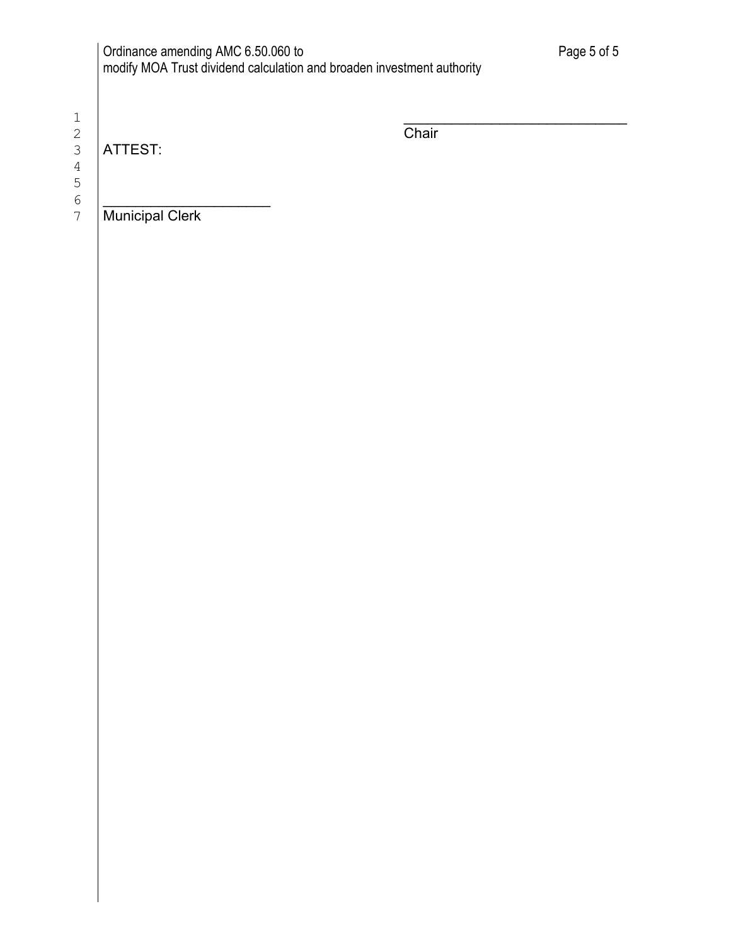| Ordinance amending AMC 6.50.060 to                                     |  |
|------------------------------------------------------------------------|--|
| modify MOA Trust dividend calculation and broaden investment authority |  |

1 \_\_\_\_\_\_\_\_\_\_\_\_\_\_\_\_\_\_\_\_\_\_\_\_\_\_\_\_ 4 5

ATTEST:

Chair

6 <u>|</u> 7 Municipal Clerk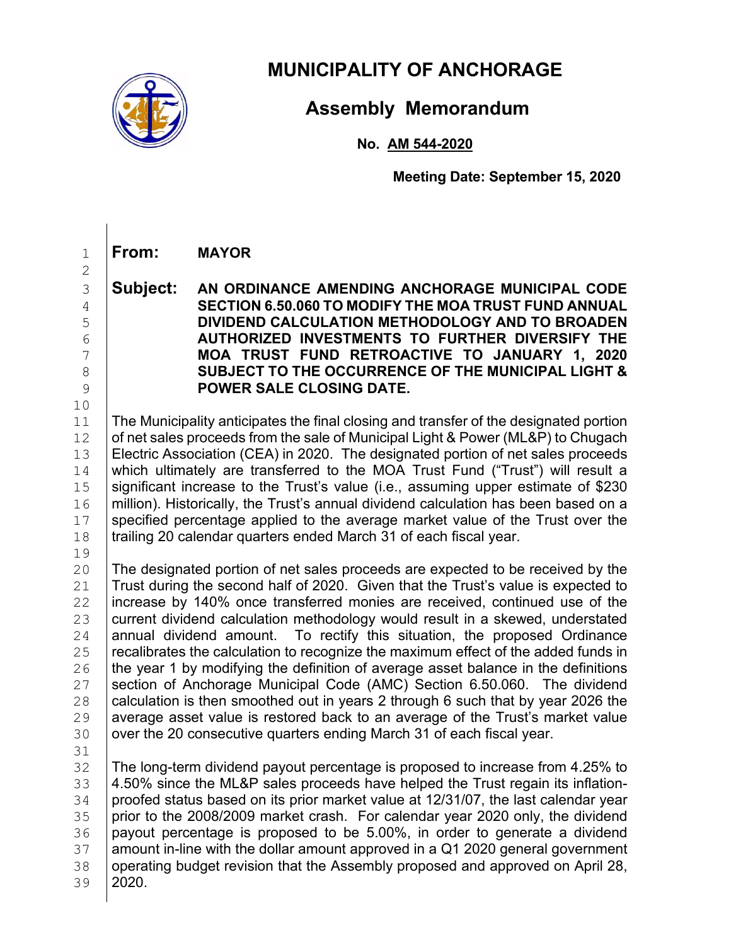

# **MUNICIPALITY OF ANCHORAGE**

# **Assembly Memorandum**

**No. AM 544-2020**

**Meeting Date: September 15, 2020**

## 1 **From: MAYOR**

### 3 **Subject: AN ORDINANCE AMENDING ANCHORAGE MUNICIPAL CODE**  4 **SECTION 6.50.060 TO MODIFY THE MOA TRUST FUND ANNUAL**  5 **DIVIDEND CALCULATION METHODOLOGY AND TO BROADEN**  6 **AUTHORIZED INVESTMENTS TO FURTHER DIVERSIFY THE**  7 **MOA TRUST FUND RETROACTIVE TO JANUARY 1, 2020**  8 **SUBJECT TO THE OCCURRENCE OF THE MUNICIPAL LIGHT &**<br>8 **POWER SALE CLOSING DATE.** 9 **POWER SALE CLOSING DATE.**

10<br>11 The Municipality anticipates the final closing and transfer of the designated portion 12 of net sales proceeds from the sale of Municipal Light & Power (ML&P) to Chugach<br>13 Electric Association (CEA) in 2020. The designated portion of net sales proceeds 13 Electric Association (CEA) in 2020. The designated portion of net sales proceeds<br>14 Which ultimately are transferred to the MOA Trust Fund ("Trust") will result a 14 which ultimately are transferred to the MOA Trust Fund ("Trust") will result a<br>15 significant increase to the Trust's value (i.e., assuming upper estimate of \$230 15 Significant increase to the Trust's value (i.e., assuming upper estimate of \$230<br>16 million). Historically, the Trust's annual dividend calculation has been based on a 16 | million). Historically, the Trust's annual dividend calculation has been based on a<br>17 | specified percentage applied to the average market value of the Trust over the specified percentage applied to the average market value of the Trust over the 18 | trailing 20 calendar quarters ended March 31 of each fiscal year.

19<br>20

2

20 The designated portion of net sales proceeds are expected to be received by the 21 Trust during the second half of 2020. Given that the Trust's value is expected to 21  $\vert$  Trust during the second half of 2020. Given that the Trust's value is expected to <br>22  $\vert$  increase by 140% once transferred monies are received, continued use of the 22 increase by 140% once transferred monies are received, continued use of the<br>23 current dividend calculation methodology would result in a skewed, understated 23 current dividend calculation methodology would result in a skewed, understated<br>24 annual dividend amount. To rectify this situation, the proposed Ordinance 24 annual dividend amount. To rectify this situation, the proposed Ordinance<br>25 recalibrates the calculation to recognize the maximum effect of the added funds in 25  $\left| \right|$  recalibrates the calculation to recognize the maximum effect of the added funds in <br>26  $\left| \right|$  the vear 1 by modifying the definition of average asset balance in the definitions 26 the year 1 by modifying the definition of average asset balance in the definitions<br>27 section of Anchorage Municipal Code (AMC) Section 6.50.060. The dividend 27 Section of Anchorage Municipal Code (AMC) Section 6.50.060. The dividend  $28$  calculation is then smoothed out in vears 2 through 6 such that by year 2026 the 28  $\mid$  calculation is then smoothed out in years 2 through 6 such that by year 2026 the<br>29  $\mid$  average asset value is restored back to an average of the Trust's market value 29 average asset value is restored back to an average of the Trust's market value<br>30 over the 20 consecutive quarters ending March 31 of each fiscal vear. over the 20 consecutive quarters ending March 31 of each fiscal year.

31<br>32 32 The long-term dividend payout percentage is proposed to increase from 4.25% to<br>33 4.50% since the ML&P sales proceeds have helped the Trust regain its inflation-33 4.50% since the ML&P sales proceeds have helped the Trust regain its inflation-<br>34 proofed status based on its prior market value at 12/31/07, the last calendar vear  $\frac{34}{35}$  proofed status based on its prior market value at 12/31/07, the last calendar year<br> $\frac{35}{35}$  prior to the 2008/2009 market crash. For calendar year 2020 only, the dividend 35 prior to the 2008/2009 market crash. For calendar year 2020 only, the dividend 36 payout percentage is proposed to be 5.00%, in order to generate a dividend 36 payout percentage is proposed to be 5.00%, in order to generate a dividend 37 amount in-line with the dollar amount approved in a Q1 2020 general government 37 amount in-line with the dollar amount approved in a Q1 2020 general government<br>38 operating budget revision that the Assembly proposed and approved on April 28. 38 operating budget revision that the Assembly proposed and approved on April 28, 39 2020. 20 20.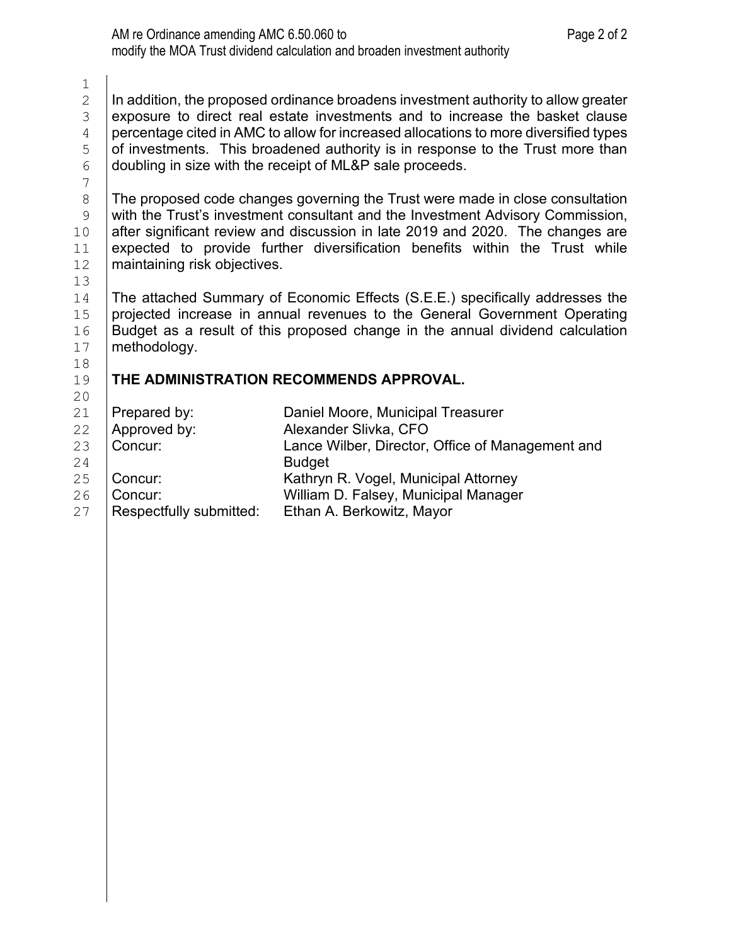$\frac{1}{2}$   $\mid$  In addition, the proposed ordinance broadens investment authority to allow greater<br>3  $\mid$  exposure to direct real estate investments and to increase the basket clause exposure to direct real estate investments and to increase the basket clause<br>4 percentage cited in AMC to allow for increased allocations to more diversified types percentage cited in AMC to allow for increased allocations to more diversified types<br>5 of investments. This broadened authority is in response to the Trust more than of investments. This broadened authority is in response to the Trust more than  $6$  doubling in size with the receipt of ML&P sale proceeds. doubling in size with the receipt of ML&P sale proceeds.

7

8 | The proposed code changes governing the Trust were made in close consultation<br>9 | with the Trust's investment consultant and the Investment Advisory Commission. 9 with the Trust's investment consultant and the Investment Advisory Commission,<br>10 after significant review and discussion in late 2019 and 2020. The changes are 10 after significant review and discussion in late 2019 and 2020. The changes are 11 expected to provide further diversification benefits within the Trust while 11 expected to provide further diversification benefits within the Trust while  $12$  maintaining risk objectives. maintaining risk objectives.

13<br>14

14 The attached Summary of Economic Effects (S.E.E.) specifically addresses the<br>15 projected increase in annual revenues to the General Government Operating 15 projected increase in annual revenues to the General Government Operating<br>16 Budget as a result of this proposed change in the annual dividend calculation 16 Budget as a result of this proposed change in the annual dividend calculation  $17$  methodology. methodology.

#### 18<br>19 19 **THE ADMINISTRATION RECOMMENDS APPROVAL.** 20

| 21 | Prepared by:            | Daniel Moore, Municipal Treasurer                |
|----|-------------------------|--------------------------------------------------|
| 22 | Approved by:            | Alexander Slivka, CFO                            |
| 23 | Concur:                 | Lance Wilber, Director, Office of Management and |
| 24 |                         | <b>Budget</b>                                    |
| 25 | Concur:                 | Kathryn R. Vogel, Municipal Attorney             |
| 26 | Concur:                 | William D. Falsey, Municipal Manager             |
| 27 | Respectfully submitted: | Ethan A. Berkowitz, Mayor                        |
|    |                         |                                                  |